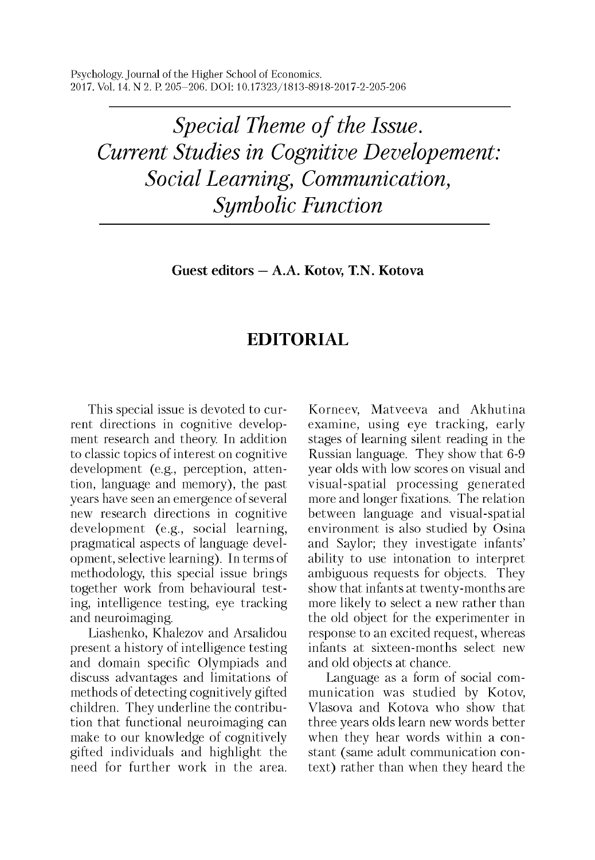Psychology. Journal of the Higher School of Economics. 2017. Vol. 14. N 2. P. 205-206. DOI: 10.17323/1813-8918-2017-2-205-206

*Special Theme of the Issue. Current Studies in Cognitive Developement: Social Learning, Communication, Symbolic Function*

**Guest editors — A.A. Kotov, T.N. Kotova**

## **EDITORIAL**

This special issue is devoted to current directions in cognitive development research and theory. In addition to classic topics of interest on cognitive development (e.g., perception, attention, language and memory), the past years have seen an emergence of several new research directions in cognitive development (e.g., social learning, pragmatical aspects of language development, selective learning). In terms of methodology, this special issue brings together work from behavioural testing, intelligence testing, eye tracking and neuroimaging.

Liashenko, Khalezov and Arsalidou present a history of intelligence testing and domain specific Olympiads and discuss advantages and limitations of methods of detecting cognitively gifted children. They underline the contribution that functional neuroimaging can make to our knowledge of cognitively gifted individuals and highlight the need for further work in the area.

Korneev, Matveeva and Akhutina examine, using eye tracking, early stages of learning silent reading in the Russian language. They show that 6-9 year olds with low scores on visual and visual-spatial processing generated more and longer fixations. The relation between language and visual-spatial environment is also studied by Osina and Saylor; they investigate infants' ability to use intonation to interpret ambiguous requests for objects. They show that infants at twenty-months are more likely to select a new rather than the old object for the experimenter in response to an excited request, whereas infants at sixteen-months select new and old objects at chance.

Language as a form of social communication was studied by Kotov, Vlasova and Kotova who show that three years olds learn new words better when they hear words within a constant (same adult communication context) rather than when they heard the